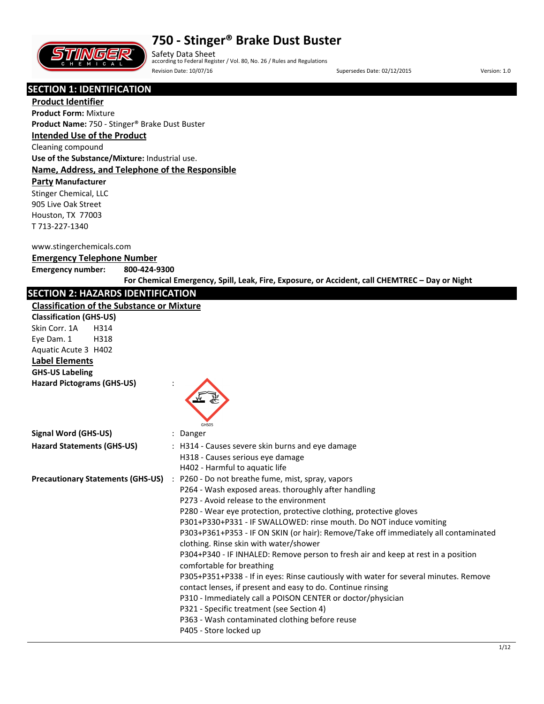

Safety Data Sheet according to Federal Register / Vol. 80, No. 26 / Rules and Regulations Revision Date: 10/07/16 Channel Communication Date: 02/12/2015 Version: 1.0

# **SECTION 1: IDENTIFICATION**

**Product Identifier Product Form:** Mixture **Product Name:** 750 - Stinger® Brake Dust Buster

#### **Intended Use of the Product**

Cleaning compound

**Use of the Substance/Mixture:** Industrial use. **Name, Address, and Telephone of the Responsible** 

#### **Party Manufacturer**

Stinger Chemical, LLC 905 Live Oak Street Houston, TX 77003 T 713-227-1340

#### www.stingerchemicals.com

#### **Emergency Telephone Number**

**Emergency number: 800-424-9300**

**For Chemical Emergency, Spill, Leak, Fire, Exposure, or Accident, call CHEMTREC – Day or Night**

# **SECTION 2: HAZARDS IDENTIFICATION**

#### **Classification of the Substance or Mixture**

| <b>Classification of the Substance or Mixture</b> |                                                                                                                                                                                                                                                                                                                                                                                                                                                                                                                                                                                                                                                                                                                                                                                                                                                                                                    |
|---------------------------------------------------|----------------------------------------------------------------------------------------------------------------------------------------------------------------------------------------------------------------------------------------------------------------------------------------------------------------------------------------------------------------------------------------------------------------------------------------------------------------------------------------------------------------------------------------------------------------------------------------------------------------------------------------------------------------------------------------------------------------------------------------------------------------------------------------------------------------------------------------------------------------------------------------------------|
| <b>Classification (GHS-US)</b>                    |                                                                                                                                                                                                                                                                                                                                                                                                                                                                                                                                                                                                                                                                                                                                                                                                                                                                                                    |
| Skin Corr. 1A<br>H314                             |                                                                                                                                                                                                                                                                                                                                                                                                                                                                                                                                                                                                                                                                                                                                                                                                                                                                                                    |
| Eye Dam. 1<br>H318                                |                                                                                                                                                                                                                                                                                                                                                                                                                                                                                                                                                                                                                                                                                                                                                                                                                                                                                                    |
| Aquatic Acute 3 H402                              |                                                                                                                                                                                                                                                                                                                                                                                                                                                                                                                                                                                                                                                                                                                                                                                                                                                                                                    |
| <b>Label Elements</b>                             |                                                                                                                                                                                                                                                                                                                                                                                                                                                                                                                                                                                                                                                                                                                                                                                                                                                                                                    |
| <b>GHS-US Labeling</b>                            |                                                                                                                                                                                                                                                                                                                                                                                                                                                                                                                                                                                                                                                                                                                                                                                                                                                                                                    |
| <b>Hazard Pictograms (GHS-US)</b>                 | GHS05                                                                                                                                                                                                                                                                                                                                                                                                                                                                                                                                                                                                                                                                                                                                                                                                                                                                                              |
| <b>Signal Word (GHS-US)</b>                       | : Danger                                                                                                                                                                                                                                                                                                                                                                                                                                                                                                                                                                                                                                                                                                                                                                                                                                                                                           |
| <b>Hazard Statements (GHS-US)</b>                 | : H314 - Causes severe skin burns and eye damage<br>H318 - Causes serious eye damage<br>H402 - Harmful to aquatic life                                                                                                                                                                                                                                                                                                                                                                                                                                                                                                                                                                                                                                                                                                                                                                             |
| <b>Precautionary Statements (GHS-US)</b>          | : P260 - Do not breathe fume, mist, spray, vapors<br>P264 - Wash exposed areas. thoroughly after handling<br>P273 - Avoid release to the environment<br>P280 - Wear eye protection, protective clothing, protective gloves<br>P301+P330+P331 - IF SWALLOWED: rinse mouth. Do NOT induce vomiting<br>P303+P361+P353 - IF ON SKIN (or hair): Remove/Take off immediately all contaminated<br>clothing. Rinse skin with water/shower<br>P304+P340 - IF INHALED: Remove person to fresh air and keep at rest in a position<br>comfortable for breathing<br>P305+P351+P338 - If in eyes: Rinse cautiously with water for several minutes. Remove<br>contact lenses, if present and easy to do. Continue rinsing<br>P310 - Immediately call a POISON CENTER or doctor/physician<br>P321 - Specific treatment (see Section 4)<br>P363 - Wash contaminated clothing before reuse<br>P405 - Store locked up |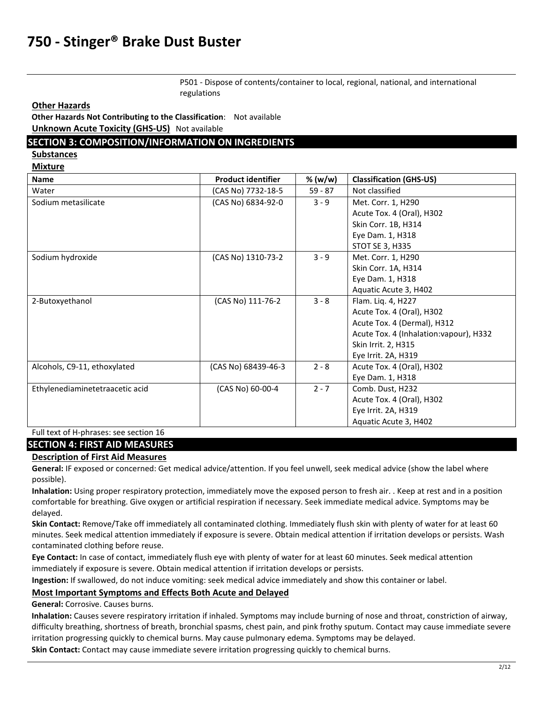P501 - Dispose of contents/container to local, regional, national, and international regulations

**Other Hazards**

**Other Hazards Not Contributing to the Classification**: Not available **Unknown Acute Toxicity (GHS-US)** Not available

### **SECTION 3: COMPOSITION/INFORMATION ON INGREDIENTS**

**Substances** 

**Mixture** 

| <b>Name</b>                     | <b>Product identifier</b> | % (w/w)   | <b>Classification (GHS-US)</b>          |
|---------------------------------|---------------------------|-----------|-----------------------------------------|
| Water                           | (CAS No) 7732-18-5        | $59 - 87$ | Not classified                          |
| Sodium metasilicate             | (CAS No) 6834-92-0        | $3 - 9$   | Met. Corr. 1, H290                      |
|                                 |                           |           | Acute Tox. 4 (Oral), H302               |
|                                 |                           |           | Skin Corr. 1B, H314                     |
|                                 |                           |           | Eye Dam. 1, H318                        |
|                                 |                           |           | <b>STOT SE 3, H335</b>                  |
| Sodium hydroxide                | (CAS No) 1310-73-2        | $3 - 9$   | Met. Corr. 1, H290                      |
|                                 |                           |           | Skin Corr. 1A, H314                     |
|                                 |                           |           | Eye Dam. 1, H318                        |
|                                 |                           |           | Aquatic Acute 3, H402                   |
| 2-Butoxyethanol                 | (CAS No) 111-76-2         | $3 - 8$   | Flam. Liq. 4, H227                      |
|                                 |                           |           | Acute Tox. 4 (Oral), H302               |
|                                 |                           |           | Acute Tox. 4 (Dermal), H312             |
|                                 |                           |           | Acute Tox. 4 (Inhalation: vapour), H332 |
|                                 |                           |           | Skin Irrit. 2, H315                     |
|                                 |                           |           | Eye Irrit. 2A, H319                     |
| Alcohols, C9-11, ethoxylated    | (CAS No) 68439-46-3       | $2 - 8$   | Acute Tox. 4 (Oral), H302               |
|                                 |                           |           | Eye Dam. 1, H318                        |
| Ethylenediaminetetraacetic acid | (CAS No) 60-00-4          | $2 - 7$   | Comb. Dust, H232                        |
|                                 |                           |           | Acute Tox. 4 (Oral), H302               |
|                                 |                           |           | Eye Irrit. 2A, H319                     |
|                                 |                           |           | Aquatic Acute 3, H402                   |

Full text of H-phrases: see section 16

#### **SECTION 4: FIRST AID MEASURES**

#### **Description of First Aid Measures**

**General:** IF exposed or concerned: Get medical advice/attention. If you feel unwell, seek medical advice (show the label where possible).

**Inhalation:** Using proper respiratory protection, immediately move the exposed person to fresh air. . Keep at rest and in a position comfortable for breathing. Give oxygen or artificial respiration if necessary. Seek immediate medical advice. Symptoms may be delayed.

**Skin Contact:** Remove/Take off immediately all contaminated clothing. Immediately flush skin with plenty of water for at least 60 minutes. Seek medical attention immediately if exposure is severe. Obtain medical attention if irritation develops or persists. Wash contaminated clothing before reuse.

**Eye Contact:** In case of contact, immediately flush eye with plenty of water for at least 60 minutes. Seek medical attention immediately if exposure is severe. Obtain medical attention if irritation develops or persists.

**Ingestion:** If swallowed, do not induce vomiting: seek medical advice immediately and show this container or label.

#### **Most Important Symptoms and Effects Both Acute and Delayed**

**General:** Corrosive. Causes burns.

**Inhalation:** Causes severe respiratory irritation if inhaled. Symptoms may include burning of nose and throat, constriction of airway, difficulty breathing, shortness of breath, bronchial spasms, chest pain, and pink frothy sputum. Contact may cause immediate severe irritation progressing quickly to chemical burns. May cause pulmonary edema. Symptoms may be delayed.

**Skin Contact:** Contact may cause immediate severe irritation progressing quickly to chemical burns.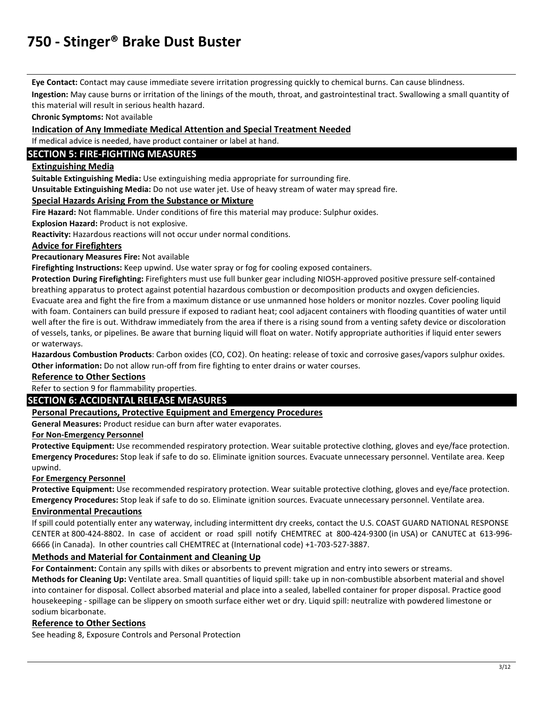**Eye Contact:** Contact may cause immediate severe irritation progressing quickly to chemical burns. Can cause blindness.

**Ingestion:** May cause burns or irritation of the linings of the mouth, throat, and gastrointestinal tract. Swallowing a small quantity of this material will result in serious health hazard.

**Chronic Symptoms:** Not available

#### **Indication of Any Immediate Medical Attention and Special Treatment Needed**

If medical advice is needed, have product container or label at hand.

# **SECTION 5: FIRE-FIGHTING MEASURES**

## **Extinguishing Media**

**Suitable Extinguishing Media:** Use extinguishing media appropriate for surrounding fire.

**Unsuitable Extinguishing Media:** Do not use water jet. Use of heavy stream of water may spread fire.

#### **Special Hazards Arising From the Substance or Mixture**

**Fire Hazard:** Not flammable. Under conditions of fire this material may produce: Sulphur oxides.

**Explosion Hazard:** Product is not explosive.

**Reactivity:** Hazardous reactions will not occur under normal conditions.

#### **Advice for Firefighters**

**Precautionary Measures Fire:** Not available

**Firefighting Instructions:** Keep upwind. Use water spray or fog for cooling exposed containers.

**Protection During Firefighting:** Firefighters must use full bunker gear including NIOSH-approved positive pressure self-contained breathing apparatus to protect against potential hazardous combustion or decomposition products and oxygen deficiencies. Evacuate area and fight the fire from a maximum distance or use unmanned hose holders or monitor nozzles. Cover pooling liquid with foam. Containers can build pressure if exposed to radiant heat; cool adjacent containers with flooding quantities of water until well after the fire is out. Withdraw immediately from the area if there is a rising sound from a venting safety device or discoloration of vessels, tanks, or pipelines. Be aware that burning liquid will float on water. Notify appropriate authorities if liquid enter sewers or waterways.

**Hazardous Combustion Products**: Carbon oxides (CO, CO2). On heating: release of toxic and corrosive gases/vapors sulphur oxides. **Other information:** Do not allow run-off from fire fighting to enter drains or water courses.

#### **Reference to Other Sections**

# Refer to section 9 for flammability properties.

# **SECTION 6: ACCIDENTAL RELEASE MEASURES**

### **Personal Precautions, Protective Equipment and Emergency Procedures**

**General Measures:** Product residue can burn after water evaporates.

#### **For Non-Emergency Personnel**

**Protective Equipment:** Use recommended respiratory protection. Wear suitable protective clothing, gloves and eye/face protection. **Emergency Procedures:** Stop leak if safe to do so. Eliminate ignition sources. Evacuate unnecessary personnel. Ventilate area. Keep upwind.

#### **For Emergency Personnel**

**Protective Equipment:** Use recommended respiratory protection. Wear suitable protective clothing, gloves and eye/face protection. **Emergency Procedures:** Stop leak if safe to do so. Eliminate ignition sources. Evacuate unnecessary personnel. Ventilate area.

### **Environmental Precautions**

If spill could potentially enter any waterway, including intermittent dry creeks, contact the U.S. COAST GUARD NATIONAL RESPONSE CENTER at 800-424-8802. In case of accident or road spill notify CHEMTREC at 800-424-9300 (in USA) or CANUTEC at 613-996- 6666 (in Canada). In other countries call CHEMTREC at (International code) +1-703-527-3887.

### **Methods and Material for Containment and Cleaning Up**

**For Containment:** Contain any spills with dikes or absorbents to prevent migration and entry into sewers or streams.

**Methods for Cleaning Up:** Ventilate area. Small quantities of liquid spill: take up in non-combustible absorbent material and shovel into container for disposal. Collect absorbed material and place into a sealed, labelled container for proper disposal. Practice good housekeeping - spillage can be slippery on smooth surface either wet or dry. Liquid spill: neutralize with powdered limestone or sodium bicarbonate.

#### **Reference to Other Sections**

See heading 8, Exposure Controls and Personal Protection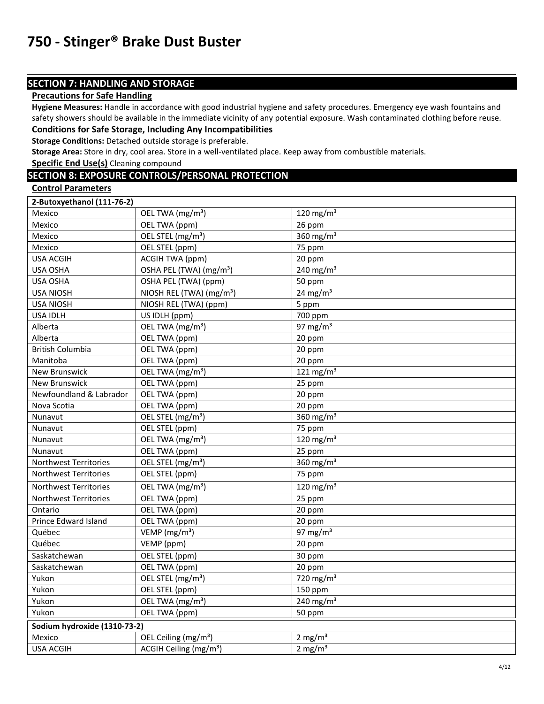# **SECTION 7: HANDLING AND STORAGE**

# **Precautions for Safe Handling**

**Hygiene Measures:** Handle in accordance with good industrial hygiene and safety procedures. Emergency eye wash fountains and safety showers should be available in the immediate vicinity of any potential exposure. Wash contaminated clothing before reuse. **Conditions for Safe Storage, Including Any Incompatibilities** 

**Storage Conditions:** Detached outside storage is preferable.

**Storage Area:** Store in dry, cool area. Store in a well-ventilated place. Keep away from combustible materials.

**Specific End Use(s)** Cleaning compound

# **SECTION 8: EXPOSURE CONTROLS/PERSONAL PROTECTION**

**Control Parameters** 

| 2-Butoxyethanol (111-76-2)   |                                      |                       |
|------------------------------|--------------------------------------|-----------------------|
| Mexico                       | OEL TWA (mg/m <sup>3</sup> )         | 120 mg/m $3$          |
| Mexico                       | OEL TWA (ppm)                        | 26 ppm                |
| Mexico                       | OEL STEL (mg/m <sup>3</sup> )        | 360 mg/m $3$          |
| Mexico                       | OEL STEL (ppm)                       | 75 ppm                |
| <b>USA ACGIH</b>             | ACGIH TWA (ppm)                      | 20 ppm                |
| <b>USA OSHA</b>              | OSHA PEL (TWA) (mg/m <sup>3</sup> )  | 240 mg/m $3$          |
| <b>USA OSHA</b>              | OSHA PEL (TWA) (ppm)                 | 50 ppm                |
| <b>USA NIOSH</b>             | NIOSH REL (TWA) (mg/m <sup>3</sup> ) | 24 mg/m <sup>3</sup>  |
| <b>USA NIOSH</b>             | NIOSH REL (TWA) (ppm)                | 5 ppm                 |
| <b>USA IDLH</b>              | US IDLH (ppm)                        | 700 ppm               |
| Alberta                      | OEL TWA (mg/m <sup>3</sup> )         | 97 mg/m $3$           |
| Alberta                      | OEL TWA (ppm)                        | 20 ppm                |
| <b>British Columbia</b>      | OEL TWA (ppm)                        | 20 ppm                |
| Manitoba                     | OEL TWA (ppm)                        | 20 ppm                |
| <b>New Brunswick</b>         | OEL TWA (mg/m <sup>3</sup> )         | 121 mg/m <sup>3</sup> |
| <b>New Brunswick</b>         | OEL TWA (ppm)                        | 25 ppm                |
| Newfoundland & Labrador      | OEL TWA (ppm)                        | 20 ppm                |
| Nova Scotia                  | OEL TWA (ppm)                        | 20 ppm                |
| Nunavut                      | OEL STEL (mg/m <sup>3</sup> )        | 360 $mg/m3$           |
| Nunavut                      | OEL STEL (ppm)                       | 75 ppm                |
| Nunavut                      | OEL TWA (mg/m <sup>3</sup> )         | 120 mg/m $3$          |
| Nunavut                      | OEL TWA (ppm)                        | 25 ppm                |
| <b>Northwest Territories</b> | OEL STEL (mg/m <sup>3</sup> )        | 360 mg/m <sup>3</sup> |
| <b>Northwest Territories</b> | OEL STEL (ppm)                       | 75 ppm                |
| Northwest Territories        | OEL TWA (mg/m <sup>3</sup> )         | 120 mg/m $3$          |
| Northwest Territories        | OEL TWA (ppm)                        | 25 ppm                |
| Ontario                      | OEL TWA (ppm)                        | 20 ppm                |
| Prince Edward Island         | OEL TWA (ppm)                        | 20 ppm                |
| Québec                       | VEMP ( $mg/m3$ )                     | 97 mg/m $3$           |
| Québec                       | VEMP (ppm)                           | 20 ppm                |
| Saskatchewan                 | OEL STEL (ppm)                       | 30 ppm                |
| Saskatchewan                 | OEL TWA (ppm)                        | 20 ppm                |
| Yukon                        | OEL STEL (mg/m <sup>3</sup> )        | 720 mg/m $3$          |
| Yukon                        | OEL STEL (ppm)                       | 150 ppm               |
| Yukon                        | OEL TWA (mg/m <sup>3</sup> )         | 240 mg/m $3$          |
| Yukon                        | OEL TWA (ppm)                        | 50 ppm                |
| Sodium hydroxide (1310-73-2) |                                      |                       |
| Mexico                       | OEL Ceiling (mg/m <sup>3</sup> )     | 2 mg/ $m3$            |
| <b>USA ACGIH</b>             | ACGIH Ceiling (mg/m <sup>3</sup> )   | $2 \text{ mg/m}^3$    |
|                              |                                      |                       |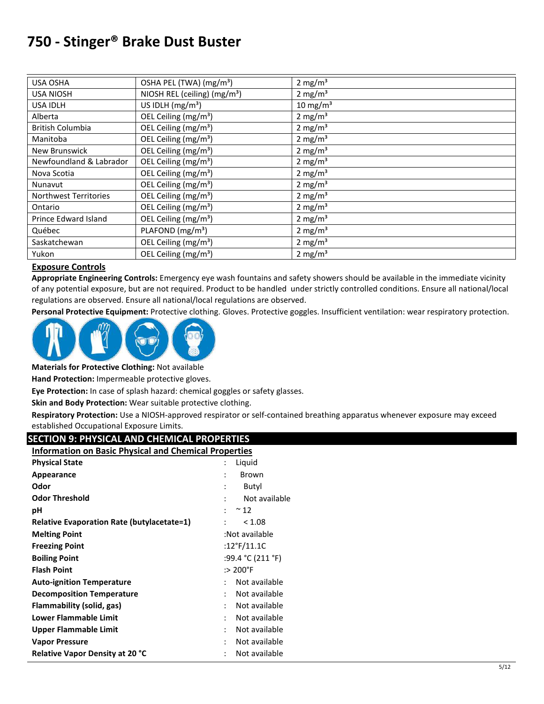| <b>USA OSHA</b>              | OSHA PEL (TWA) (mg/m <sup>3</sup> ) | $2 \text{ mg/m}^3$  |
|------------------------------|-------------------------------------|---------------------|
| <b>USA NIOSH</b>             | NIOSH REL (ceiling) $(mg/m3)$       | 2 mg/m <sup>3</sup> |
| USA IDLH                     | US IDLH $(mg/m3)$                   | $10 \text{ mg/m}^3$ |
| Alberta                      | OEL Ceiling (mg/m <sup>3</sup> )    | 2 mg/m <sup>3</sup> |
| <b>British Columbia</b>      | OEL Ceiling (mg/m <sup>3</sup> )    | 2 mg/ $m3$          |
| Manitoba                     | OEL Ceiling (mg/m <sup>3</sup> )    | 2 mg/ $m3$          |
| New Brunswick                | OEL Ceiling (mg/m <sup>3</sup> )    | $2 \text{ mg/m}^3$  |
| Newfoundland & Labrador      | OEL Ceiling (mg/m <sup>3</sup> )    | 2 mg/ $m3$          |
| Nova Scotia                  | OEL Ceiling $(mg/m3)$               | 2 mg/m <sup>3</sup> |
| Nunavut                      | OEL Ceiling (mg/m <sup>3</sup> )    | 2 mg/ $m3$          |
| <b>Northwest Territories</b> | OEL Ceiling (mg/m <sup>3</sup> )    | 2 mg/m <sup>3</sup> |
| Ontario                      | OEL Ceiling (mg/m <sup>3</sup> )    | 2 mg/ $m3$          |
| Prince Edward Island         | OEL Ceiling (mg/m <sup>3</sup> )    | 2 mg/ $m3$          |
| Québec                       | PLAFOND (mg/m <sup>3</sup> )        | 2 mg/m <sup>3</sup> |
| Saskatchewan                 | OEL Ceiling (mg/m <sup>3</sup> )    | 2 mg/ $m3$          |
| Yukon                        | OEL Ceiling (mg/m <sup>3</sup> )    | 2 mg/ $m3$          |

### **Exposure Controls**

**Appropriate Engineering Controls:** Emergency eye wash fountains and safety showers should be available in the immediate vicinity of any potential exposure, but are not required. Product to be handled under strictly controlled conditions. Ensure all national/local regulations are observed. Ensure all national/local regulations are observed.

**Personal Protective Equipment:** Protective clothing. Gloves. Protective goggles. Insufficient ventilation: wear respiratory protection.



**Materials for Protective Clothing:** Not available

**Hand Protection:** Impermeable protective gloves.

**Eye Protection:** In case of splash hazard: chemical goggles or safety glasses.

**Skin and Body Protection:** Wear suitable protective clothing.

**Respiratory Protection:** Use a NIOSH-approved respirator or self-contained breathing apparatus whenever exposure may exceed established Occupational Exposure Limits.

### **SECTION 9: PHYSICAL AND CHEMICAL PROPERTIES**

| <b>Information on Basic Physical and Chemical Properties</b> |                                       |  |
|--------------------------------------------------------------|---------------------------------------|--|
| <b>Physical State</b>                                        | Liquid                                |  |
| Appearance                                                   | Brown                                 |  |
| Odor                                                         | Butyl                                 |  |
| <b>Odor Threshold</b>                                        | Not available                         |  |
| рH                                                           | $~^{\sim}$ 12<br>÷                    |  |
| <b>Relative Evaporation Rate (butylacetate=1)</b>            | < 1.08                                |  |
| <b>Melting Point</b>                                         | :Not available                        |  |
| <b>Freezing Point</b>                                        | :12°F/11.1C                           |  |
| <b>Boiling Point</b>                                         | :99.4 °C (211 °F)                     |  |
| <b>Flash Point</b>                                           | $:$ 200 $^{\circ}$ F                  |  |
| <b>Auto-ignition Temperature</b>                             | Not available                         |  |
| <b>Decomposition Temperature</b>                             | Not available<br>$\ddot{\phantom{a}}$ |  |
| Flammability (solid, gas)                                    | Not available                         |  |
| <b>Lower Flammable Limit</b>                                 | Not available                         |  |
| <b>Upper Flammable Limit</b>                                 | Not available<br>$\ddot{\phantom{a}}$ |  |
| <b>Vapor Pressure</b>                                        | Not available<br>٠                    |  |
| Relative Vapor Density at 20 °C                              | Not available<br>$\ddot{\phantom{a}}$ |  |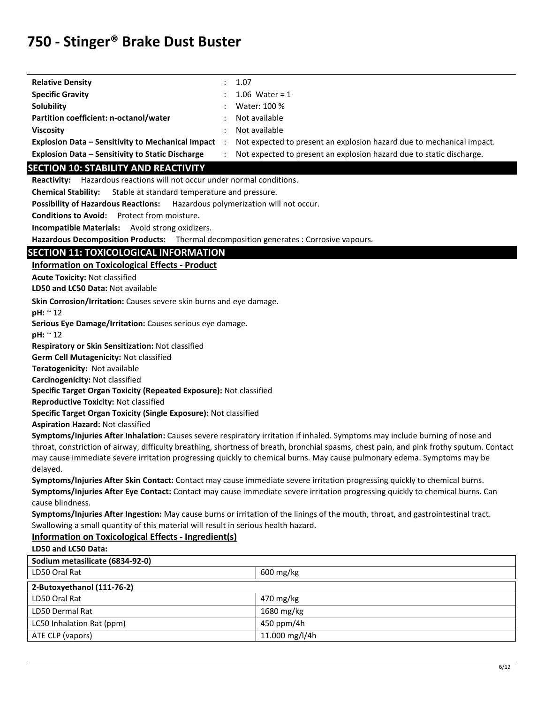| <b>Relative Density</b>                                  |   | 1.07                                                                  |
|----------------------------------------------------------|---|-----------------------------------------------------------------------|
| <b>Specific Gravity</b>                                  |   | 1.06 Water = $1$                                                      |
| Solubility                                               |   | Water: 100 %                                                          |
| Partition coefficient: n-octanol/water                   |   | Not available                                                         |
| <b>Viscosity</b>                                         | ÷ | Not available                                                         |
| <b>Explosion Data – Sensitivity to Mechanical Impact</b> |   | Not expected to present an explosion hazard due to mechanical impact. |
| <b>Explosion Data - Sensitivity to Static Discharge</b>  |   | Not expected to present an explosion hazard due to static discharge.  |

#### **SECTION 10: STABILITY AND REACTIVITY**

**Reactivity:** Hazardous reactions will not occur under normal conditions.

**Chemical Stability:** Stable at standard temperature and pressure.

**Possibility of Hazardous Reactions:** Hazardous polymerization will not occur.

**Conditions to Avoid:** Protect from moisture.

**Incompatible Materials:** Avoid strong oxidizers.

**Hazardous Decomposition Products:** Thermal decomposition generates : Corrosive vapours.

### **SECTION 11: TOXICOLOGICAL INFORMATION**

**Information on Toxicological Effects - Product** 

**Acute Toxicity:** Not classified

**LD50 and LC50 Data:** Not available

**Skin Corrosion/Irritation:** Causes severe skin burns and eye damage.

**pH:** ~ 12

**Serious Eye Damage/Irritation:** Causes serious eye damage.

**pH:** ~ 12

**Respiratory or Skin Sensitization:** Not classified

**Germ Cell Mutagenicity:** Not classified

**Teratogenicity:** Not available

**Carcinogenicity:** Not classified

**Specific Target Organ Toxicity (Repeated Exposure):** Not classified

**Reproductive Toxicity:** Not classified

**Specific Target Organ Toxicity (Single Exposure):** Not classified

**Aspiration Hazard:** Not classified

**Symptoms/Injuries After Inhalation:** Causes severe respiratory irritation if inhaled. Symptoms may include burning of nose and throat, constriction of airway, difficulty breathing, shortness of breath, bronchial spasms, chest pain, and pink frothy sputum. Contact may cause immediate severe irritation progressing quickly to chemical burns. May cause pulmonary edema. Symptoms may be delayed.

**Symptoms/Injuries After Skin Contact:** Contact may cause immediate severe irritation progressing quickly to chemical burns. **Symptoms/Injuries After Eye Contact:** Contact may cause immediate severe irritation progressing quickly to chemical burns. Can cause blindness.

**Symptoms/Injuries After Ingestion:** May cause burns or irritation of the linings of the mouth, throat, and gastrointestinal tract. Swallowing a small quantity of this material will result in serious health hazard.

#### **Information on Toxicological Effects - Ingredient(s)**

**LD50 and LC50 Data:**

| Sodium metasilicate (6834-92-0) |                        |  |
|---------------------------------|------------------------|--|
| LD50 Oral Rat                   | $600 \,\mathrm{mg/kg}$ |  |
| 2-Butoxyethanol (111-76-2)      |                        |  |
| LD50 Oral Rat                   | 470 mg/kg              |  |
| LD50 Dermal Rat                 | 1680 mg/kg             |  |
| LC50 Inhalation Rat (ppm)       | 450 ppm/4h             |  |
| ATE CLP (vapors)                | 11.000 mg/l/4h         |  |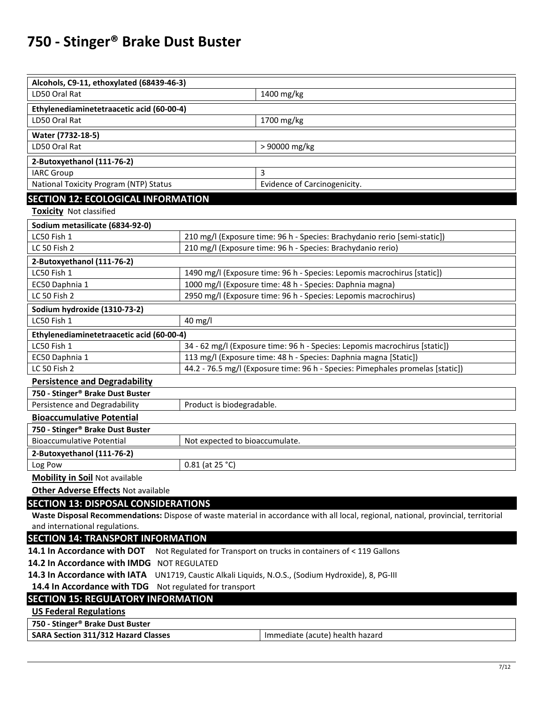| Alcohols, C9-11, ethoxylated (68439-46-3)                                                             |                                                                            |                                                                                                                                     |  |
|-------------------------------------------------------------------------------------------------------|----------------------------------------------------------------------------|-------------------------------------------------------------------------------------------------------------------------------------|--|
| LD50 Oral Rat                                                                                         |                                                                            | 1400 mg/kg                                                                                                                          |  |
| Ethylenediaminetetraacetic acid (60-00-4)                                                             |                                                                            |                                                                                                                                     |  |
| LD50 Oral Rat                                                                                         |                                                                            | 1700 mg/kg                                                                                                                          |  |
| Water (7732-18-5)                                                                                     |                                                                            |                                                                                                                                     |  |
| LD50 Oral Rat                                                                                         |                                                                            | > 90000 mg/kg                                                                                                                       |  |
| 2-Butoxyethanol (111-76-2)                                                                            |                                                                            |                                                                                                                                     |  |
| <b>IARC Group</b>                                                                                     |                                                                            | 3                                                                                                                                   |  |
| National Toxicity Program (NTP) Status                                                                |                                                                            | Evidence of Carcinogenicity.                                                                                                        |  |
| <b>SECTION 12: ECOLOGICAL INFORMATION</b>                                                             |                                                                            |                                                                                                                                     |  |
| <b>Toxicity</b> Not classified                                                                        |                                                                            |                                                                                                                                     |  |
| Sodium metasilicate (6834-92-0)                                                                       |                                                                            |                                                                                                                                     |  |
| LC50 Fish 1                                                                                           |                                                                            | 210 mg/l (Exposure time: 96 h - Species: Brachydanio rerio [semi-static])                                                           |  |
| LC 50 Fish 2                                                                                          |                                                                            | 210 mg/l (Exposure time: 96 h - Species: Brachydanio rerio)                                                                         |  |
| 2-Butoxyethanol (111-76-2)                                                                            |                                                                            |                                                                                                                                     |  |
| LC50 Fish 1                                                                                           |                                                                            | 1490 mg/l (Exposure time: 96 h - Species: Lepomis macrochirus [static])                                                             |  |
| EC50 Daphnia 1                                                                                        |                                                                            | 1000 mg/l (Exposure time: 48 h - Species: Daphnia magna)                                                                            |  |
| LC 50 Fish 2                                                                                          |                                                                            | 2950 mg/l (Exposure time: 96 h - Species: Lepomis macrochirus)                                                                      |  |
| Sodium hydroxide (1310-73-2)                                                                          |                                                                            |                                                                                                                                     |  |
| LC50 Fish 1<br>40 mg/l                                                                                |                                                                            |                                                                                                                                     |  |
| Ethylenediaminetetraacetic acid (60-00-4)                                                             |                                                                            |                                                                                                                                     |  |
| LC50 Fish 1                                                                                           | 34 - 62 mg/l (Exposure time: 96 h - Species: Lepomis macrochirus [static]) |                                                                                                                                     |  |
| EC50 Daphnia 1                                                                                        |                                                                            | 113 mg/l (Exposure time: 48 h - Species: Daphnia magna [Static])                                                                    |  |
| LC 50 Fish 2<br>44.2 - 76.5 mg/l (Exposure time: 96 h - Species: Pimephales promelas [static])        |                                                                            |                                                                                                                                     |  |
| <b>Persistence and Degradability</b>                                                                  |                                                                            |                                                                                                                                     |  |
| 750 - Stinger® Brake Dust Buster<br>Product is biodegradable.                                         |                                                                            |                                                                                                                                     |  |
| Persistence and Degradability                                                                         |                                                                            |                                                                                                                                     |  |
| <b>Bioaccumulative Potential</b><br>750 - Stinger <sup>®</sup> Brake Dust Buster                      |                                                                            |                                                                                                                                     |  |
| <b>Bioaccumulative Potential</b>                                                                      | Not expected to bioaccumulate.                                             |                                                                                                                                     |  |
| 2-Butoxyethanol (111-76-2)                                                                            |                                                                            |                                                                                                                                     |  |
| Log Pow                                                                                               | 0.81 (at 25 °C)                                                            |                                                                                                                                     |  |
| <b>Mobility in Soil Not available</b>                                                                 |                                                                            |                                                                                                                                     |  |
| <b>Other Adverse Effects Not available</b>                                                            |                                                                            |                                                                                                                                     |  |
| <b>SECTION 13: DISPOSAL CONSIDERATIONS</b>                                                            |                                                                            |                                                                                                                                     |  |
|                                                                                                       |                                                                            | Waste Disposal Recommendations: Dispose of waste material in accordance with all local, regional, national, provincial, territorial |  |
| and international regulations.                                                                        |                                                                            |                                                                                                                                     |  |
| <b>SECTION 14: TRANSPORT INFORMATION</b>                                                              |                                                                            |                                                                                                                                     |  |
| 14.1 In Accordance with DOT                                                                           |                                                                            | Not Regulated for Transport on trucks in containers of < 119 Gallons                                                                |  |
| 14.2 In Accordance with IMDG NOT REGULATED                                                            |                                                                            |                                                                                                                                     |  |
| 14.3 In Accordance with IATA<br>UN1719, Caustic Alkali Liquids, N.O.S., (Sodium Hydroxide), 8, PG-III |                                                                            |                                                                                                                                     |  |
| 14.4 In Accordance with TDG<br>Not regulated for transport                                            |                                                                            |                                                                                                                                     |  |
| <b>SECTION 15: REGULATORY INFORMATION</b>                                                             |                                                                            |                                                                                                                                     |  |
| <b>US Federal Regulations</b>                                                                         |                                                                            |                                                                                                                                     |  |
| 750 - Stinger® Brake Dust Buster                                                                      |                                                                            |                                                                                                                                     |  |
| SARA Section 311/312 Hazard Classes                                                                   |                                                                            | Immediate (acute) health hazard                                                                                                     |  |
|                                                                                                       |                                                                            |                                                                                                                                     |  |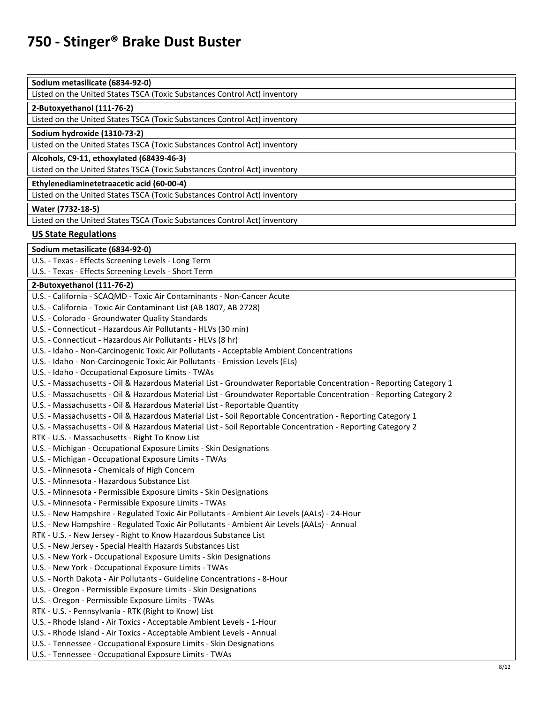| Sodium metasilicate (6834-92-0) |
|---------------------------------|
|---------------------------------|

Listed on the United States TSCA (Toxic Substances Control Act) inventory

#### **2-Butoxyethanol (111-76-2)**

Listed on the United States TSCA (Toxic Substances Control Act) inventory

#### **Sodium hydroxide (1310-73-2)**

Listed on the United States TSCA (Toxic Substances Control Act) inventory

**Alcohols, C9-11, ethoxylated (68439-46-3)** 

Listed on the United States TSCA (Toxic Substances Control Act) inventory

**Ethylenediaminetetraacetic acid (60-00-4)** 

Listed on the United States TSCA (Toxic Substances Control Act) inventory

#### **Water (7732-18-5)**

Listed on the United States TSCA (Toxic Substances Control Act) inventory

#### **US State Regulations**

**Sodium metasilicate (6834-92-0)** 

U.S. - Texas - Effects Screening Levels - Long Term

U.S. - Texas - Effects Screening Levels - Short Term

#### **2-Butoxyethanol (111-76-2)**

| U.S. - California - SCAQMD - Toxic Air Contaminants - Non-Cancer Acute                                             |
|--------------------------------------------------------------------------------------------------------------------|
| U.S. - California - Toxic Air Contaminant List (AB 1807, AB 2728)                                                  |
| U.S. - Colorado - Groundwater Quality Standards                                                                    |
| U.S. - Connecticut - Hazardous Air Pollutants - HLVs (30 min)                                                      |
| U.S. - Connecticut - Hazardous Air Pollutants - HLVs (8 hr)                                                        |
| U.S. - Idaho - Non-Carcinogenic Toxic Air Pollutants - Acceptable Ambient Concentrations                           |
| U.S. - Idaho - Non-Carcinogenic Toxic Air Pollutants - Emission Levels (ELs)                                       |
| U.S. - Idaho - Occupational Exposure Limits - TWAs                                                                 |
| U.S. - Massachusetts - Oil & Hazardous Material List - Groundwater Reportable Concentration - Reporting Category 1 |
| U.S. - Massachusetts - Oil & Hazardous Material List - Groundwater Reportable Concentration - Reporting Category 2 |
| U.S. - Massachusetts - Oil & Hazardous Material List - Reportable Quantity                                         |
| U.S. - Massachusetts - Oil & Hazardous Material List - Soil Reportable Concentration - Reporting Category 1        |
| U.S. - Massachusetts - Oil & Hazardous Material List - Soil Reportable Concentration - Reporting Category 2        |
| RTK - U.S. - Massachusetts - Right To Know List                                                                    |
| U.S. - Michigan - Occupational Exposure Limits - Skin Designations                                                 |
| U.S. - Michigan - Occupational Exposure Limits - TWAs                                                              |
| U.S. - Minnesota - Chemicals of High Concern                                                                       |
| U.S. - Minnesota - Hazardous Substance List                                                                        |
| U.S. - Minnesota - Permissible Exposure Limits - Skin Designations                                                 |
| U.S. - Minnesota - Permissible Exposure Limits - TWAs                                                              |
| U.S. - New Hampshire - Regulated Toxic Air Pollutants - Ambient Air Levels (AALs) - 24-Hour                        |
| U.S. - New Hampshire - Regulated Toxic Air Pollutants - Ambient Air Levels (AALs) - Annual                         |
| RTK - U.S. - New Jersey - Right to Know Hazardous Substance List                                                   |
| U.S. - New Jersey - Special Health Hazards Substances List                                                         |
| U.S. - New York - Occupational Exposure Limits - Skin Designations                                                 |
| U.S. - New York - Occupational Exposure Limits - TWAs                                                              |
| U.S. - North Dakota - Air Pollutants - Guideline Concentrations - 8-Hour                                           |
| U.S. - Oregon - Permissible Exposure Limits - Skin Designations                                                    |
| U.S. - Oregon - Permissible Exposure Limits - TWAs                                                                 |
| RTK - U.S. - Pennsylvania - RTK (Right to Know) List                                                               |
| U.S. - Rhode Island - Air Toxics - Acceptable Ambient Levels - 1-Hour                                              |
| U.S. - Rhode Island - Air Toxics - Acceptable Ambient Levels - Annual                                              |
| U.S. - Tennessee - Occupational Exposure Limits - Skin Designations                                                |
| U.S. - Tennessee - Occupational Exposure Limits - TWAs                                                             |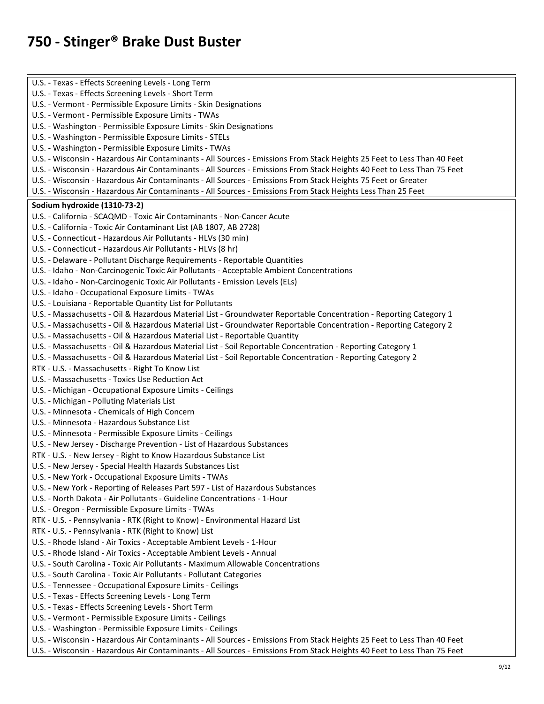U.S. - Texas - Effects Screening Levels - Long Term U.S. - Texas - Effects Screening Levels - Short Term U.S. - Vermont - Permissible Exposure Limits - Skin Designations U.S. - Vermont - Permissible Exposure Limits - TWAs U.S. - Washington - Permissible Exposure Limits - Skin Designations U.S. - Washington - Permissible Exposure Limits - STELs U.S. - Washington - Permissible Exposure Limits - TWAs U.S. - Wisconsin - Hazardous Air Contaminants - All Sources - Emissions From Stack Heights 25 Feet to Less Than 40 Feet U.S. - Wisconsin - Hazardous Air Contaminants - All Sources - Emissions From Stack Heights 40 Feet to Less Than 75 Feet U.S. - Wisconsin - Hazardous Air Contaminants - All Sources - Emissions From Stack Heights 75 Feet or Greater U.S. - Wisconsin - Hazardous Air Contaminants - All Sources - Emissions From Stack Heights Less Than 25 Feet **Sodium hydroxide (1310-73-2)**  U.S. - California - SCAQMD - Toxic Air Contaminants - Non-Cancer Acute U.S. - California - Toxic Air Contaminant List (AB 1807, AB 2728) U.S. - Connecticut - Hazardous Air Pollutants - HLVs (30 min) U.S. - Connecticut - Hazardous Air Pollutants - HLVs (8 hr) U.S. - Delaware - Pollutant Discharge Requirements - Reportable Quantities U.S. - Idaho - Non-Carcinogenic Toxic Air Pollutants - Acceptable Ambient Concentrations U.S. - Idaho - Non-Carcinogenic Toxic Air Pollutants - Emission Levels (ELs) U.S. - Idaho - Occupational Exposure Limits - TWAs U.S. - Louisiana - Reportable Quantity List for Pollutants U.S. - Massachusetts - Oil & Hazardous Material List - Groundwater Reportable Concentration - Reporting Category 1 U.S. - Massachusetts - Oil & Hazardous Material List - Groundwater Reportable Concentration - Reporting Category 2 U.S. - Massachusetts - Oil & Hazardous Material List - Reportable Quantity U.S. - Massachusetts - Oil & Hazardous Material List - Soil Reportable Concentration - Reporting Category 1 U.S. - Massachusetts - Oil & Hazardous Material List - Soil Reportable Concentration - Reporting Category 2 RTK - U.S. - Massachusetts - Right To Know List U.S. - Massachusetts - Toxics Use Reduction Act U.S. - Michigan - Occupational Exposure Limits - Ceilings U.S. - Michigan - Polluting Materials List U.S. - Minnesota - Chemicals of High Concern U.S. - Minnesota - Hazardous Substance List U.S. - Minnesota - Permissible Exposure Limits - Ceilings U.S. - New Jersey - Discharge Prevention - List of Hazardous Substances RTK - U.S. - New Jersey - Right to Know Hazardous Substance List U.S. - New Jersey - Special Health Hazards Substances List U.S. - New York - Occupational Exposure Limits - TWAs U.S. - New York - Reporting of Releases Part 597 - List of Hazardous Substances U.S. - North Dakota - Air Pollutants - Guideline Concentrations - 1-Hour U.S. - Oregon - Permissible Exposure Limits - TWAs RTK - U.S. - Pennsylvania - RTK (Right to Know) - Environmental Hazard List RTK - U.S. - Pennsylvania - RTK (Right to Know) List U.S. - Rhode Island - Air Toxics - Acceptable Ambient Levels - 1-Hour U.S. - Rhode Island - Air Toxics - Acceptable Ambient Levels - Annual U.S. - South Carolina - Toxic Air Pollutants - Maximum Allowable Concentrations U.S. - South Carolina - Toxic Air Pollutants - Pollutant Categories U.S. - Tennessee - Occupational Exposure Limits - Ceilings U.S. - Texas - Effects Screening Levels - Long Term U.S. - Texas - Effects Screening Levels - Short Term U.S. - Vermont - Permissible Exposure Limits - Ceilings U.S. - Washington - Permissible Exposure Limits - Ceilings U.S. - Wisconsin - Hazardous Air Contaminants - All Sources - Emissions From Stack Heights 25 Feet to Less Than 40 Feet U.S. - Wisconsin - Hazardous Air Contaminants - All Sources - Emissions From Stack Heights 40 Feet to Less Than 75 Feet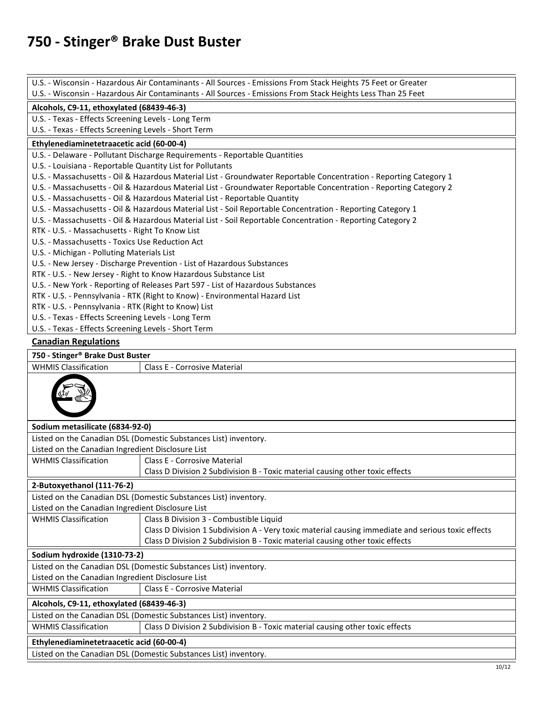|                                                                                                              | U.S. - Wisconsin - Hazardous Air Contaminants - All Sources - Emissions From Stack Heights 75 Feet or Greater                                                                                                                            |  |  |
|--------------------------------------------------------------------------------------------------------------|------------------------------------------------------------------------------------------------------------------------------------------------------------------------------------------------------------------------------------------|--|--|
| U.S. - Wisconsin - Hazardous Air Contaminants - All Sources - Emissions From Stack Heights Less Than 25 Feet |                                                                                                                                                                                                                                          |  |  |
| Alcohols, C9-11, ethoxylated (68439-46-3)                                                                    |                                                                                                                                                                                                                                          |  |  |
| U.S. - Texas - Effects Screening Levels - Long Term                                                          |                                                                                                                                                                                                                                          |  |  |
| U.S. - Texas - Effects Screening Levels - Short Term                                                         |                                                                                                                                                                                                                                          |  |  |
| Ethylenediaminetetraacetic acid (60-00-4)                                                                    |                                                                                                                                                                                                                                          |  |  |
|                                                                                                              | U.S. - Delaware - Pollutant Discharge Requirements - Reportable Quantities                                                                                                                                                               |  |  |
| U.S. - Louisiana - Reportable Quantity List for Pollutants                                                   |                                                                                                                                                                                                                                          |  |  |
|                                                                                                              | U.S. - Massachusetts - Oil & Hazardous Material List - Groundwater Reportable Concentration - Reporting Category 1<br>U.S. - Massachusetts - Oil & Hazardous Material List - Groundwater Reportable Concentration - Reporting Category 2 |  |  |
|                                                                                                              | U.S. - Massachusetts - Oil & Hazardous Material List - Reportable Quantity                                                                                                                                                               |  |  |
|                                                                                                              | U.S. - Massachusetts - Oil & Hazardous Material List - Soil Reportable Concentration - Reporting Category 1                                                                                                                              |  |  |
|                                                                                                              | U.S. - Massachusetts - Oil & Hazardous Material List - Soil Reportable Concentration - Reporting Category 2                                                                                                                              |  |  |
| RTK - U.S. - Massachusetts - Right To Know List                                                              |                                                                                                                                                                                                                                          |  |  |
| U.S. - Massachusetts - Toxics Use Reduction Act                                                              |                                                                                                                                                                                                                                          |  |  |
| U.S. - Michigan - Polluting Materials List                                                                   |                                                                                                                                                                                                                                          |  |  |
|                                                                                                              | U.S. - New Jersey - Discharge Prevention - List of Hazardous Substances                                                                                                                                                                  |  |  |
|                                                                                                              | RTK - U.S. - New Jersey - Right to Know Hazardous Substance List                                                                                                                                                                         |  |  |
|                                                                                                              | U.S. - New York - Reporting of Releases Part 597 - List of Hazardous Substances                                                                                                                                                          |  |  |
|                                                                                                              | RTK - U.S. - Pennsylvania - RTK (Right to Know) - Environmental Hazard List                                                                                                                                                              |  |  |
| RTK - U.S. - Pennsylvania - RTK (Right to Know) List                                                         |                                                                                                                                                                                                                                          |  |  |
| U.S. - Texas - Effects Screening Levels - Long Term                                                          |                                                                                                                                                                                                                                          |  |  |
| U.S. - Texas - Effects Screening Levels - Short Term                                                         |                                                                                                                                                                                                                                          |  |  |
| <b>Canadian Regulations</b>                                                                                  |                                                                                                                                                                                                                                          |  |  |
| 750 - Stinger® Brake Dust Buster                                                                             |                                                                                                                                                                                                                                          |  |  |
| <b>WHMIS Classification</b><br>Class E - Corrosive Material                                                  |                                                                                                                                                                                                                                          |  |  |
|                                                                                                              |                                                                                                                                                                                                                                          |  |  |
| Sodium metasilicate (6834-92-0)                                                                              |                                                                                                                                                                                                                                          |  |  |
|                                                                                                              | Listed on the Canadian DSL (Domestic Substances List) inventory.                                                                                                                                                                         |  |  |
| Listed on the Canadian Ingredient Disclosure List                                                            |                                                                                                                                                                                                                                          |  |  |
| <b>WHMIS Classification</b>                                                                                  | Class E - Corrosive Material                                                                                                                                                                                                             |  |  |
|                                                                                                              | Class D Division 2 Subdivision B - Toxic material causing other toxic effects                                                                                                                                                            |  |  |
| 2-Butoxyethanol (111-76-2)                                                                                   |                                                                                                                                                                                                                                          |  |  |
| Listed on the Canadian DSL (Domestic Substances List) inventory.                                             |                                                                                                                                                                                                                                          |  |  |
| Listed on the Canadian Ingredient Disclosure List                                                            |                                                                                                                                                                                                                                          |  |  |
| <b>WHMIS Classification</b>                                                                                  | Class B Division 3 - Combustible Liquid                                                                                                                                                                                                  |  |  |
|                                                                                                              | Class D Division 1 Subdivision A - Very toxic material causing immediate and serious toxic effects                                                                                                                                       |  |  |
|                                                                                                              | Class D Division 2 Subdivision B - Toxic material causing other toxic effects                                                                                                                                                            |  |  |
| Sodium hydroxide (1310-73-2)                                                                                 |                                                                                                                                                                                                                                          |  |  |
| Listed on the Canadian DSL (Domestic Substances List) inventory.                                             |                                                                                                                                                                                                                                          |  |  |
| Listed on the Canadian Ingredient Disclosure List                                                            |                                                                                                                                                                                                                                          |  |  |
| <b>WHMIS Classification</b>                                                                                  | <b>Class E - Corrosive Material</b>                                                                                                                                                                                                      |  |  |
| Alcohols, C9-11, ethoxylated (68439-46-3)                                                                    |                                                                                                                                                                                                                                          |  |  |
|                                                                                                              | Listed on the Canadian DSL (Domestic Substances List) inventory.                                                                                                                                                                         |  |  |
| <b>WHMIS Classification</b><br>Class D Division 2 Subdivision B - Toxic material causing other toxic effects |                                                                                                                                                                                                                                          |  |  |
| Ethylenediaminetetraacetic acid (60-00-4)                                                                    |                                                                                                                                                                                                                                          |  |  |
| Listed on the Canadian DSL (Domestic Substances List) inventory.                                             |                                                                                                                                                                                                                                          |  |  |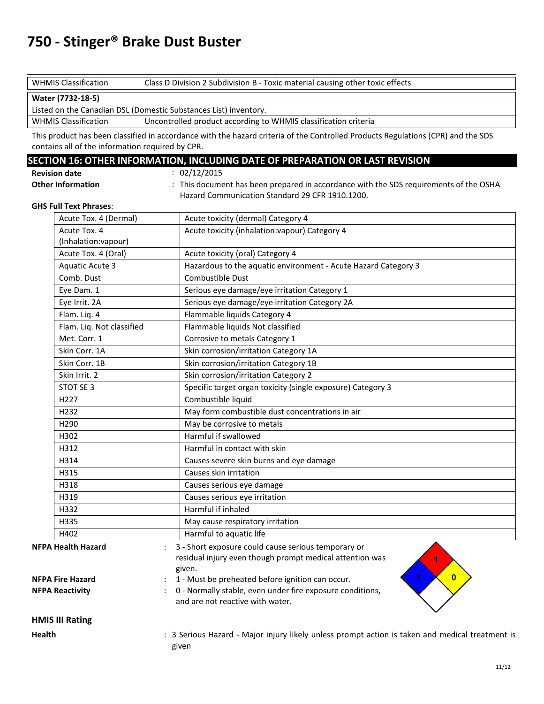| <b>WHMIS Classification</b><br>Class D Division 2 Subdivision B - Toxic material causing other toxic effects |                                                                 |  |
|--------------------------------------------------------------------------------------------------------------|-----------------------------------------------------------------|--|
| Water (7732-18-5)                                                                                            |                                                                 |  |
| Listed on the Canadian DSL (Domestic Substances List) inventory.                                             |                                                                 |  |
| <b>WHMIS Classification</b>                                                                                  | Uncontrolled product according to WHMIS classification criteria |  |

This product has been classified in accordance with the hazard criteria of the Controlled Products Regulations (CPR) and the SDS contains all of the information required by CPR.

#### **SECTION 16: OTHER INFORMATION, INCLUDING DATE OF PREPARATION OR LAST REVISION**

| <b>Revision date</b>     |  |
|--------------------------|--|
| <b>Other Information</b> |  |

 $: 02/12/2015$ : This document has been prepared in accordance with the SDS requirements of the OSHA Hazard Communication Standard 29 CFR 1910.1200.

#### **GHS Full Text Phrases**:

|                                                                | Acute Tox. 4 (Dermal)                                 | Acute toxicity (dermal) Category 4                                                                                        |  |
|----------------------------------------------------------------|-------------------------------------------------------|---------------------------------------------------------------------------------------------------------------------------|--|
|                                                                | Acute Tox. 4                                          | Acute toxicity (inhalation: vapour) Category 4                                                                            |  |
|                                                                | (Inhalation:vapour)                                   |                                                                                                                           |  |
|                                                                | Acute Tox. 4 (Oral)                                   | Acute toxicity (oral) Category 4                                                                                          |  |
|                                                                | <b>Aquatic Acute 3</b>                                | Hazardous to the aquatic environment - Acute Hazard Category 3                                                            |  |
|                                                                | Comb. Dust                                            | Combustible Dust                                                                                                          |  |
|                                                                | Eye Dam. 1                                            | Serious eye damage/eye irritation Category 1                                                                              |  |
| Serious eye damage/eye irritation Category 2A<br>Eye Irrit. 2A |                                                       |                                                                                                                           |  |
|                                                                | Flam. Liq. 4                                          | Flammable liquids Category 4                                                                                              |  |
|                                                                | Flam. Liq. Not classified                             | Flammable liquids Not classified                                                                                          |  |
|                                                                | Met. Corr. 1<br>Corrosive to metals Category 1        |                                                                                                                           |  |
|                                                                | Skin Corr. 1A                                         | Skin corrosion/irritation Category 1A                                                                                     |  |
|                                                                | Skin Corr. 1B                                         | Skin corrosion/irritation Category 1B                                                                                     |  |
|                                                                | Skin Irrit. 2<br>Skin corrosion/irritation Category 2 |                                                                                                                           |  |
|                                                                | STOT SE 3                                             | Specific target organ toxicity (single exposure) Category 3                                                               |  |
|                                                                | H227                                                  | Combustible liquid                                                                                                        |  |
|                                                                | H232                                                  | May form combustible dust concentrations in air                                                                           |  |
|                                                                | H290                                                  | May be corrosive to metals                                                                                                |  |
|                                                                | H302                                                  | Harmful if swallowed                                                                                                      |  |
|                                                                | H312                                                  | Harmful in contact with skin                                                                                              |  |
|                                                                | H314                                                  | Causes severe skin burns and eye damage                                                                                   |  |
|                                                                | H315                                                  | Causes skin irritation                                                                                                    |  |
|                                                                | H318                                                  | Causes serious eye damage                                                                                                 |  |
|                                                                | H319                                                  | Causes serious eye irritation                                                                                             |  |
|                                                                | H332                                                  | Harmful if inhaled                                                                                                        |  |
|                                                                | H335                                                  | May cause respiratory irritation                                                                                          |  |
|                                                                | H402                                                  | Harmful to aquatic life                                                                                                   |  |
|                                                                | <b>NFPA Health Hazard</b>                             | 3 - Short exposure could cause serious temporary or<br>residual injury even though prompt medical attention was<br>given. |  |
|                                                                | <b>NFPA Fire Hazard</b>                               | 3<br>$\mathbf{0}$<br>1 - Must be preheated before ignition can occur.                                                     |  |
| <b>NFPA Reactivity</b>                                         |                                                       | 0 - Normally stable, even under fire exposure conditions,<br>and are not reactive with water.                             |  |
|                                                                | <b>HMIS III Rating</b>                                |                                                                                                                           |  |
| <b>Health</b>                                                  |                                                       | : 3 Serious Hazard - Major injury likely unless prompt action is taken and medical treatment is<br>given                  |  |